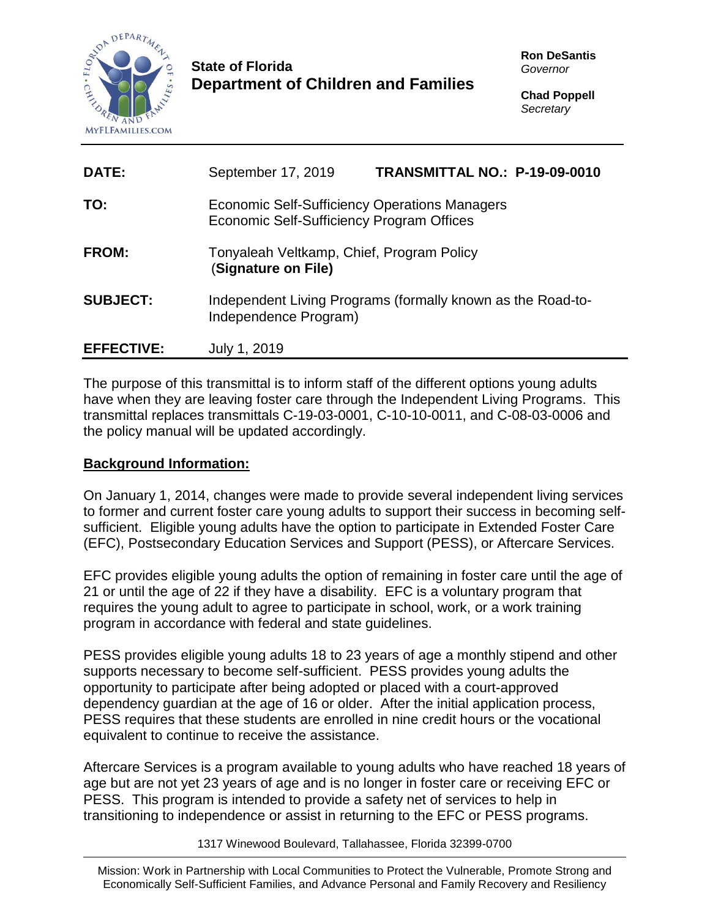

## **State of Florida Department of Children and Families**

**Ron DeSantis** *Governor*

**Chad Poppell** *Secretary*

| DATE:             | September 17, 2019                                                                                | TRANSMITTAL NO.: P-19-09-0010 |  |
|-------------------|---------------------------------------------------------------------------------------------------|-------------------------------|--|
| TO:               | <b>Economic Self-Sufficiency Operations Managers</b><br>Economic Self-Sufficiency Program Offices |                               |  |
| FROM:             | Tonyaleah Veltkamp, Chief, Program Policy<br>(Signature on File)                                  |                               |  |
| <b>SUBJECT:</b>   | Independent Living Programs (formally known as the Road-to-<br>Independence Program)              |                               |  |
| <b>EFFECTIVE:</b> | July 1, 2019                                                                                      |                               |  |

The purpose of this transmittal is to inform staff of the different options young adults have when they are leaving foster care through the Independent Living Programs. This transmittal replaces transmittals C-19-03-0001, C-10-10-0011, and C-08-03-0006 and the policy manual will be updated accordingly.

## **Background Information:**

On January 1, 2014, changes were made to provide several independent living services to former and current foster care young adults to support their success in becoming selfsufficient. Eligible young adults have the option to participate in Extended Foster Care (EFC), Postsecondary Education Services and Support (PESS), or Aftercare Services.

EFC provides eligible young adults the option of remaining in foster care until the age of 21 or until the age of 22 if they have a disability. EFC is a voluntary program that requires the young adult to agree to participate in school, work, or a work training program in accordance with federal and state guidelines.

PESS provides eligible young adults 18 to 23 years of age a monthly stipend and other supports necessary to become self-sufficient. PESS provides young adults the opportunity to participate after being adopted or placed with a court-approved dependency guardian at the age of 16 or older. After the initial application process, PESS requires that these students are enrolled in nine credit hours or the vocational equivalent to continue to receive the assistance.

Aftercare Services is a program available to young adults who have reached 18 years of age but are not yet 23 years of age and is no longer in foster care or receiving EFC or PESS. This program is intended to provide a safety net of services to help in transitioning to independence or assist in returning to the EFC or PESS programs.

1317 Winewood Boulevard, Tallahassee, Florida 32399-0700